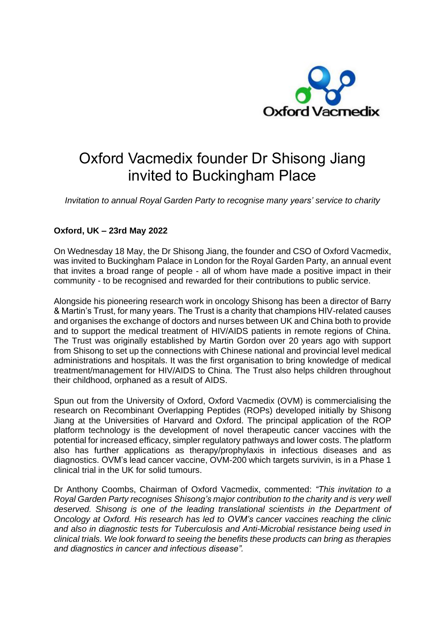

## Oxford Vacmedix founder Dr Shisong Jiang invited to Buckingham Place

*Invitation to annual Royal Garden Party to recognise many years' service to charity*

## **Oxford, UK – 23rd May 2022**

On Wednesday 18 May, the Dr Shisong Jiang, the founder and CSO of Oxford Vacmedix, was invited to Buckingham Palace in London for the Royal Garden Party, an annual event that invites a broad range of people - all of whom have made a positive impact in their community - to be recognised and rewarded for their contributions to public service.

Alongside his pioneering research work in oncology Shisong has been a director of Barry & Martin's Trust, for many years. The Trust is a charity that champions HIV-related causes and organises the exchange of doctors and nurses between UK and China both to provide and to support the medical treatment of HIV/AIDS patients in remote regions of China. The Trust was originally established by Martin Gordon over 20 years ago with support from Shisong to set up the connections with Chinese national and provincial level medical administrations and hospitals. It was the first organisation to bring knowledge of medical treatment/management for HIV/AIDS to China. The Trust also helps children throughout their childhood, orphaned as a result of AIDS.

Spun out from the University of Oxford, Oxford Vacmedix (OVM) is commercialising the research on Recombinant Overlapping Peptides (ROPs) developed initially by Shisong Jiang at the Universities of Harvard and Oxford. The principal application of the ROP platform technology is the development of novel therapeutic cancer vaccines with the potential for increased efficacy, simpler regulatory pathways and lower costs. The platform also has further applications as therapy/prophylaxis in infectious diseases and as diagnostics. OVM's lead cancer vaccine, OVM-200 which targets survivin, is in a Phase 1 clinical trial in the UK for solid tumours.

Dr Anthony Coombs, Chairman of Oxford Vacmedix, commented: *"This invitation to a Royal Garden Party recognises Shisong's major contribution to the charity and is very well deserved. Shisong is one of the leading translational scientists in the Department of Oncology at Oxford. His research has led to OVM's cancer vaccines reaching the clinic and also in diagnostic tests for Tuberculosis and Anti-Microbial resistance being used in clinical trials. We look forward to seeing the benefits these products can bring as therapies and diagnostics in cancer and infectious disease".*